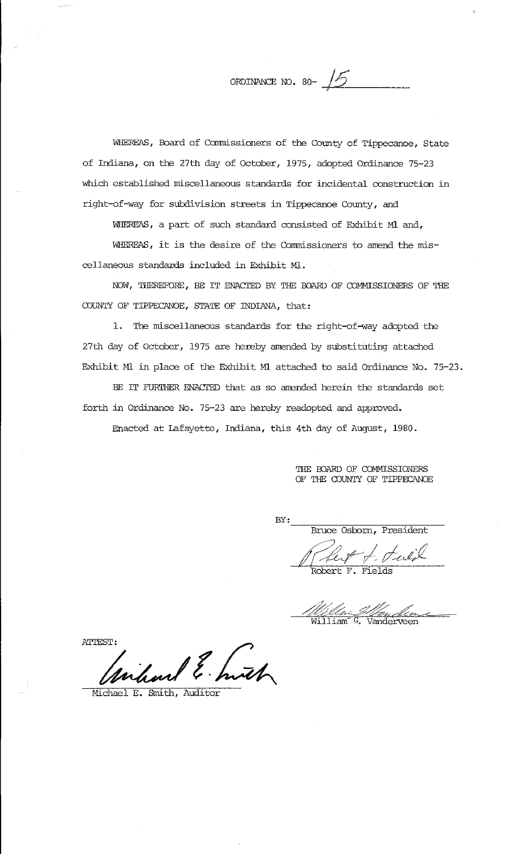ORDINANCE NO. 80- $\sqrt{5}$ 

WHEREAS, Board of Comnissioners of the County of Tippecanoe, State of Indiana, on the 27th day of October, 1975, adopted Ordinance 75-23 which established miscellaneous standards for incidental construction in right-of-way for subdivision streets in Tippecanoe County, and

WHEREAS, a part of such standard consisted of Exhibit Ml and,

WHEREAS, it is the desire of the Commissioners to amend the miscellaneous standards included in Exhibit Ml.

NOW, THEREFORE, BE IT ENACTED BY THE BOARD OF COMMISSIONERS OF THE COUNTY OF TIPPECANOE, STATE OF INDIANA, that:

1. The miscellaneous standards for the right-of-way adopted the 27th day of October, 1975 are hereby amended by substituting attached Exhibit Ml in place of the Exhibit Ml attached to said Ordinance No. 75-23.

BE IT FURTHER ENACTED that as so amended herein the standards set forth in Ordinance No. 75-23 are hereby readopted and approved.

Enacted at Lafayette, Indiana, this 4th day of August, 1980.

THE BOARD OF COMMISSIONERS OF THE COUNTY OF TIPPECANOE

BY:

~~~~~~~~~~~~~~~ Bruce Osborn, President

There F. Pulik

<u>Um: *J. Wer, Jun*,</u><br>Tiam<sup>e</sup> G. Vanderveen

ATTEST: what E. huth

Michael E. Smith, Audi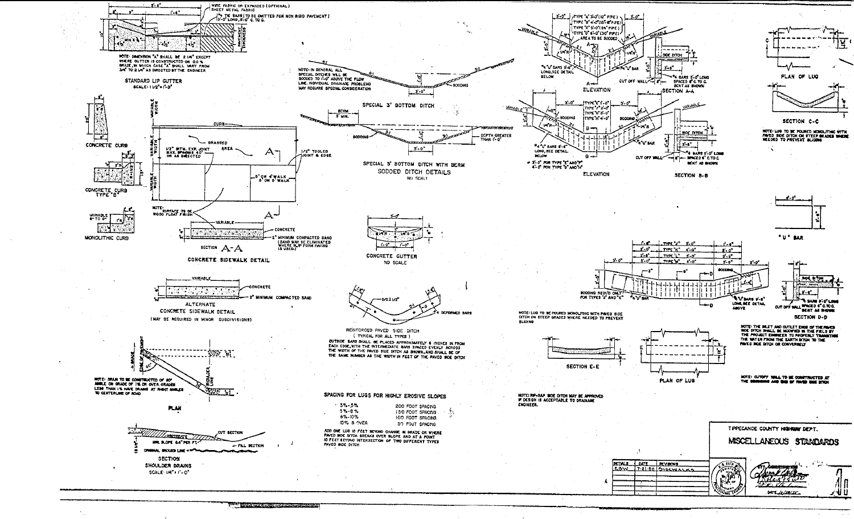

**Contract of the Contract of Contract of the Contract of Contract of the Contract of Contract of the Contract of Contract of the Contract of The Contract of The Contract of The Contract of The Contract of The Contract of T**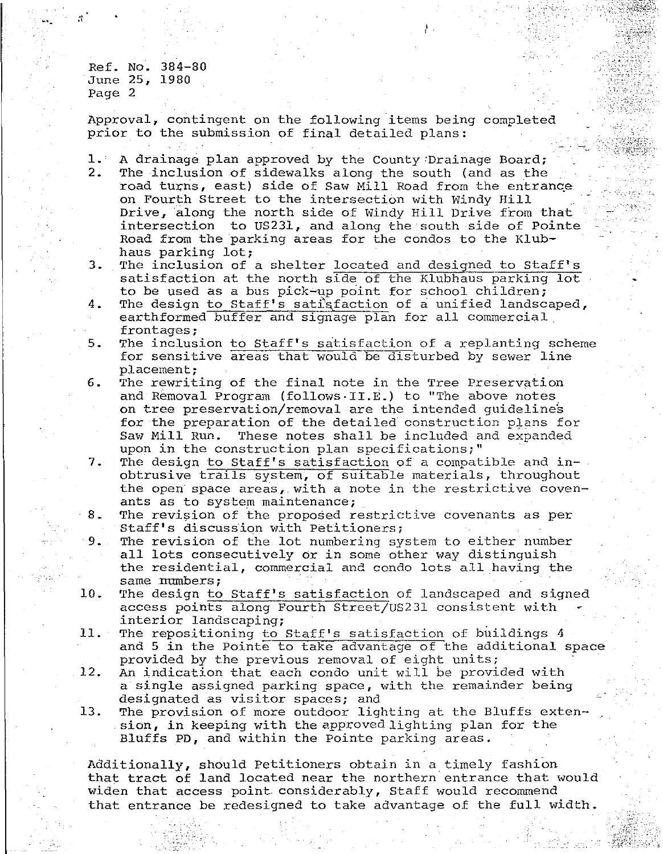Ref. No. 384-80 June 25, 1980 Page 2

"

Approval, contingent on the following items being completed prior to the submission of final detailed plans:

 $\frac{1}{2}$  .

\_,:·-,'.\_-~ .·

----:,\_~

1. A drainage plan approved by the County:Drainage Board; 2. The inclusion of sidewalks along the south (and as the road turns, east) side of Saw Mill Road from the entrance on Fourth Street to the intersection with Windy Hill \_ Drive, along the north side of Windy Hill Drive from that intersection to US231, and along the south side of Pointe Road from the parking areas for the condos to the Klubhaus parking lot;

3. The inclusion of a shelter located and designed to Staff's satisfaction at the north side of the Klubhaus parking lot to be used as a bus pick-up point for school children;

- 4. The design to Staff's satisfaction of a unified landscaped, earthformed buffer and signage plan for all commercial frontages;
- 5. The inclusion to Staff's satisfaction of a replanting scheme for sensitive areas that would be disturbed by sewer line placement;
- 6. The rewriting of the final note in the Tree Preservation and Removal Program (follows-II.E.) to "The above notes on tree preservation/removal are the intended guidelines for the preparation of the detailed construction pJans for Saw Mill Run. These notes shall be included and expanded upon in the construction plan specifications;"
- 7. The design to Staff's satisfaction of a compatible and inobtrusive trails system, of suitable materials, throughout the open space areas, with a note in the restrictive covenants as to system maintenance;

8. The revision of the proposed restrictive covenants as per Staff's discussion with Petitioners;

9. The revision of the lot numbering system to either number all lots consecutively or in some other way distinguish the residential, commercial and condo lots all having the same numbers;

- 10. The design to Staff's satisfaction of landscaped and signed access points along Fourth Street/US231 consistent with interior landscaping;
- 11. The repositioning to Staff's satisfaction of buildings 4 and 5 in the Pointe to take advantage of the additional space provided by the previous removal of eight units;
- 12. An indication that each condo unit will be provided with a single assigned parking space, with the remainder being designated as visitor spaces; and
- 13. The provision of more outdoor lighting at the Bluffs extension, in keeping with the approved lighting plan for the Bluffs PD, and within the Pointe parking areas.

Additionally, should Petitioners obtain in a timely fashion that tract of land located near the northern entrance that would widen that access point considerably, Staff would recommend that entrance be redesigned to take advantage of the full width •

 $\sim$  ,  $\sim$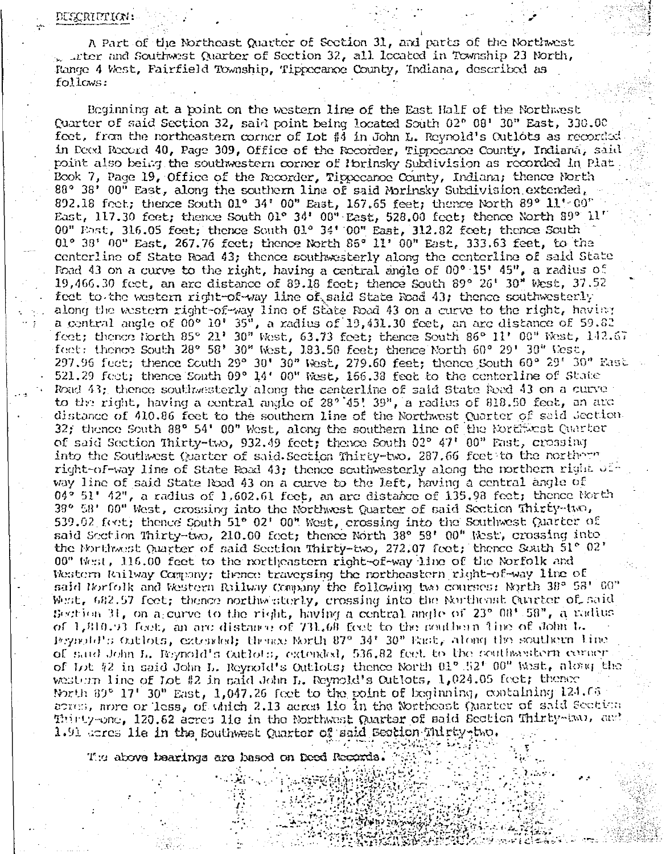A Part of the Northeast Quarter of Section 31, and parts of the Northwest . Inter and Southwest Quarter of Section 32, all located in Township 23 North, Range 4 West, Fairfield Township, Tippecanoe County, Indiana, described as follows:

Beginning at a point on the western line of the East Half of the Northwest Quarter of said Section 32, said point being located South 02° 08' 30" East, 330.00 fect, from the northeastern corner of Lot #4 in John L. Reynold's Cutlots as recorded in Decd Record 40, Page 309, Office of the Recorder, Tippecanoe County, Indiana, said point also being the southwestern corner of Porinsky Subdivision as recorded in Plat Book 7, Page 19, Office of the Recorder, Tippecanoe County, Indiana; thence North 88° 38' 00" East, along the southern line of said Morinsky Subdivision extended, 892.18 feet; thence South 01° 34' 00" East, 157.65 feet; thence North 89° 11' 00" East, 117.30 feet; thence South 01° 34' 00" East, 528.00 feet; thence North  $99^{\circ}$   $11^{\circ}$ 00" Fast, 316.05 feet; thence South 01° 34' 00" East, 312.82 feet; thence South 01° 38' 00" East, 267.76 feet; thence North 85° 11' 00" East, 333.63 feet, to the centerline of State Road 43; thence southwesterly along the centerline of said State Road 43 on a curve to the right, having a central angle of 00° 15' 45", a radius of  $19,466.30$  feet, an arc distance of  $89.18$  feet; thence South  $89^{\circ}$   $26^{\circ}$   $30^{\prime\prime}$  West,  $37.52$ feet to the western right-of-way line of said State Road 43; thence southwesterly along the western right-of-way line of State Road 43 on a curve to the right, having a central angle of  $00^{\circ}$  10°  $35^{\circ}$ , a radius of 19,431.30 feet, an arc distance of 59.82 feet; thence North 85° 21' 30" West, 63.73 feet; thence South 86° 11' 00" West, 142.67 feet: thence South 28° 58' 30" West, 183.50 feet; thence North 60° 29' 30" West, 297.96 feet; thence South 29° 30' 30" West, 279.60 feet; thence South 60° 29' 30" Rast 521.29 feet; thence South 09° 14' 00" West, 166.38 feet to the centerline of State Road 43; thence southwesterly along the centerline of said State Road 43 on a curve to the right, having a central angle of  $28^{\circ}$  45!  $39^{\circ}$ , a radius of 818.50 feet, an arc distance of 410.86 feet to the southern line of the Northwest Quarter of said Jection. 32; thence South 88° 54' 00" West, along the southern line of the Northwest Quarter of said Section Thirty-two, 932.49 feet; thence South 02° 47' 00" Fast, crossing into the Southwest (parter of said Section Thirty-two. 287.66 feet to the northorn right-of-way line of State Road 43; thence scathwesterly along the northern right of way line of said State Road 43 on a curve to the left, having a central angle of  $04^{\circ}$  51' 42", a radius of 1,602.61 feet, an arc distance of 135.98 feet; thence North 38° 58' 00" West, crossing into the Northwest Quarter of said Section Thirty-two, 539.02 feet; thence South 51° 02' 00" West, crossing into the Southwest Quarter of said Section Thirty-two, 210.00 feet; thence North 38° 58' 00" Nest, crossing into the Northwest Quarter of said Section Thirty-two, 272.07 feet; thence Scath  $51^{\circ}$   $02^{\circ}$ 00" West, 116.00 feet to the portheastern right-of-way line of the Norfolk and Western Rilway Company; thence traversing the northeastern right-of-way line of said Norfolk and Western Railway Company the following two courses: North 38° 58' 60" West, 682.57 feet; thence northwisterly, crossing into the Northeast Quarter of said Bestion 31, on ageurve to the right, having a central angle of  $23^{\circ}$  08'  $58^{\circ}$ , a radius of 1,810.93 feet, an arc distance of 731.68 feet to the southern line of John L. Peynold's Outlots, extended; thence North 87° 34' 30" East, along the southern line of said John L. Reynold's Cutlots, extended, 536.82 feet to the southwastern corner of Lot #2 in said John L. Reynold's Outlots; thence North 01° 52' 00" West, along the western line of Lot #2 in said John L. Reynold's Outlots, 1,024.05 feet; thence North  $39^{\circ}$  17' 30" East, 1,047.26 feet to the point of beginning, containing 124.06  $\sigma$  acres, nore or less, of which 2.13 aeres 1io in the Northeast (Marter of said Section Thirty-one, 120.62 acres lie in the Northwest Quarter of said Section Thirty-two, and 1.91 acres 11e in the Southwest Quarter of said Scotion Thirty-two.

The above bearings are hased on Deed Records.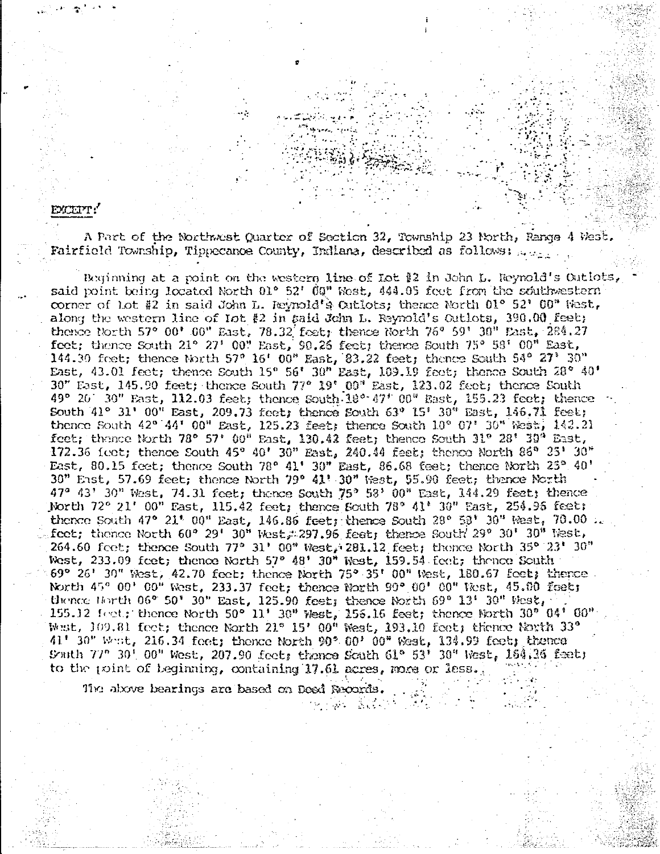EXCEPT:

A Part of the Northwest Quarter of Section 32, Township 23 North, Range 4 West. Fairfield Township, Tippecanoe County, Indiana, described as follows: 2008.

Beginning at a point on the western line of Lot #2 in John L. Reynold's Outlots, said point being located North 01° 52' 09" West, 444.05 feet from the southwestern corner of Lot #2 in said John L. Jeynold's Cutlots; thence North  $01^{\circ}$  52'  $00^{\circ}$  West, along the western line of  $\text{Tot} \; \{2 \text{ in } \text{said } \text{John } L, \text{ Reynolds} \; \text{Out} \text{lost}, \; 390.00 \; \text{feeb} \}$ thence North 57° 00' 00" East, 78.32 feet; thence North 76° 59' 30" East, 284.27 feet; thence South 21° 27' 00" East, 90.26 feet; thence South 75° 58' 00" East, 144.30 feet; thence North 57° 16' 00" East, 83.22 feet; thence South 54° 27' 30" East, 43.01 feet; thence South 15° 56' 30" East, 109.19 feet; thence South 28° 40' 30" East, 145.90 feet; thence South 77° 19' 09" East, 123.02 feet; thence South 49° 20' 30" East, 112.03 feet; thence South 18° 47' 00" East, 155.23 feet; thence South 41° 31' 00" East, 209.73 feet; thence South 63° 15' 30" East, 146.71 feet; thence South  $42^{\circ} [44^{\circ} 00^{\circ}]$  East, 125.23 feet; thence South  $10^{\circ} 07^{\circ} 30^{\circ}$  West, 143.21 feet; thence North 78° 57' 00" East, 130.42 feet; thence South 31° 28' 39" East,  $172.36$  (eet; thence South  $45^{\rm o}$   $40^{\rm t}$   $30^{\rm m}$  East,  $240.44$  feet; thenco North  $85^{\rm o}$   $25^{\rm t}$   $30^{\rm m}$ East, 80.15 feet; thence South 78° 41' 30" East, 86.68 feet; thence North 25° 40'<br>30" East, 57.69 feet; thence North 79° 41' 30" West, 55.90 feet; thence North  $47^{\circ}$   $43^{\circ}$   $30^{\circ}$  West, 74.31 feet; thence South  $75^{\circ}$   $53^{\circ}$   $00^{\circ}$  East, 144.29 feet; thence North 72° 21' 00" Fast, 115.42 feet; thence South 78° 41' 30" East, 254.95 feet; thence South  $47^{\circ}$  21' 00" East, 146.86 feet; thence South 28° 53' 30" West, 70.00 .. feet; thence North 60° 29' 30" West, 297.96 feet; thence South 29° 30' 30" West, 264.60 feet; thence South 77° 31' 00" West, 281.12 feet; thence North 35° 23' 30" West, 233.09 feet; thence North 57° 48' 30" West, 159.54 feet; thence South  $69^{\circ}$  26' 30" West, 42.70 feet; thence North 75° 35' 00" West, 180.67 feet; thence North 45° 00' 00" West, 233.37 feet; thence North 90° 00' 00" West, 45.00 feet; thence Horth  $06^{\circ}$  50° 30" East, 125.90 feet; thence North  $69^{\circ}$  13° 30" West, 155.12 feet; thence North 50° 11' 30" West, 155.16 feet; thence North 30" 04' 00".<br>West, 109.81 feet; thence North 21° 15' 00" West, 193.10 feet; thence North 33° 41' 30" West, 216.34 feet; thence North 90° 00' 00" West, 134.99 feet; thence South 77" 30' 00" West, 207.90 feet, thence South 61° 53' 30" West, 164.36 feet; to the point of beginning, containing 17.61 acres, more or less.

 $\mathcal{O}(\mathcal{O}_\mathcal{A})$ 

인물 중심 그림을 알려.

The above bearings are based on Deed Records.